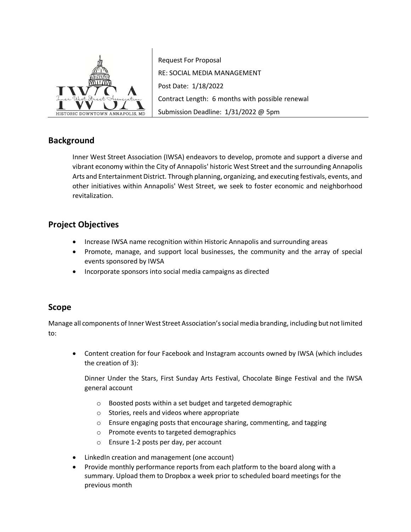

Request For Proposal RE: SOCIAL MEDIA MANAGEMENT Post Date: 1/18/2022 Contract Length: 6 months with possible renewal Submission Deadline: 1/31/2022 @ 5pm

# **Background**

Inner West Street Association (IWSA) endeavors to develop, promote and support a diverse and vibrant economy within the City of Annapolis' historic West Street and the surrounding Annapolis Arts and Entertainment District. Through planning, organizing, and executing festivals, events, and other initiatives within Annapolis' West Street, we seek to foster economic and neighborhood revitalization.

# **Project Objectives**

- Increase IWSA name recognition within Historic Annapolis and surrounding areas
- Promote, manage, and support local businesses, the community and the array of special events sponsored by IWSA
- Incorporate sponsors into social media campaigns as directed

## **Scope**

Manage all components of Inner West Street Association's social media branding, including but not limited to:

• Content creation for four Facebook and Instagram accounts owned by IWSA (which includes the creation of 3):

Dinner Under the Stars, First Sunday Arts Festival, Chocolate Binge Festival and the IWSA general account

- o Boosted posts within a set budget and targeted demographic
- o Stories, reels and videos where appropriate
- o Ensure engaging posts that encourage sharing, commenting, and tagging
- o Promote events to targeted demographics
- o Ensure 1-2 posts per day, per account
- LinkedIn creation and management (one account)
- Provide monthly performance reports from each platform to the board along with a summary. Upload them to Dropbox a week prior to scheduled board meetings for the previous month